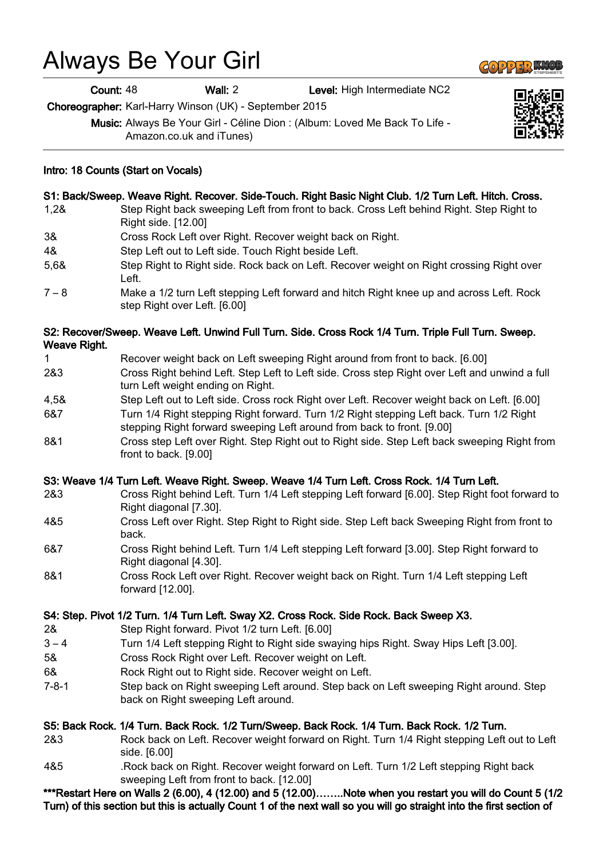# Always Be Your Girl

Count: 48 Wall: 2 Level: High Intermediate NC2

Choreographer: Karl-Harry Winson (UK) - September 2015

Music: Always Be Your Girl - Céline Dion : (Album: Loved Me Back To Life - Amazon.co.uk and iTunes)

## Intro: 18 Counts (Start on Vocals)

#### S1: Back/Sweep. Weave Right. Recover. Side-Touch. Right Basic Night Club. 1/2 Turn Left. Hitch. Cross.

- 1,2& Step Right back sweeping Left from front to back. Cross Left behind Right. Step Right to Right side. [12.00]
- 3& Cross Rock Left over Right. Recover weight back on Right.
- 4& Step Left out to Left side. Touch Right beside Left.
- 5,6& Step Right to Right side. Rock back on Left. Recover weight on Right crossing Right over Left.
- 7 8 Make a 1/2 turn Left stepping Left forward and hitch Right knee up and across Left. Rock step Right over Left. [6.00]

#### S2: Recover/Sweep. Weave Left. Unwind Full Turn. Side. Cross Rock 1/4 Turn. Triple Full Turn. Sweep. Weave Right.

- 1 Recover weight back on Left sweeping Right around from front to back. [6.00]
- 2&3 Cross Right behind Left. Step Left to Left side. Cross step Right over Left and unwind a full turn Left weight ending on Right.
- 4,5& Step Left out to Left side. Cross rock Right over Left. Recover weight back on Left. [6.00]
- 6&7 Turn 1/4 Right stepping Right forward. Turn 1/2 Right stepping Left back. Turn 1/2 Right stepping Right forward sweeping Left around from back to front. [9.00]
- 8&1 Cross step Left over Right. Step Right out to Right side. Step Left back sweeping Right from front to back. [9.00]

#### S3: Weave 1/4 Turn Left. Weave Right. Sweep. Weave 1/4 Turn Left. Cross Rock. 1/4 Turn Left.

- 2&3 Cross Right behind Left. Turn 1/4 Left stepping Left forward [6.00]. Step Right foot forward to Right diagonal [7.30].
- 4&5 Cross Left over Right. Step Right to Right side. Step Left back Sweeping Right from front to back.
- 6&7 Cross Right behind Left. Turn 1/4 Left stepping Left forward [3.00]. Step Right forward to Right diagonal [4.30].
- 8&1 Cross Rock Left over Right. Recover weight back on Right. Turn 1/4 Left stepping Left forward [12.00].

#### S4: Step. Pivot 1/2 Turn. 1/4 Turn Left. Sway X2. Cross Rock. Side Rock. Back Sweep X3.

- 2& Step Right forward. Pivot 1/2 turn Left. [6.00]
- 3 4 Turn 1/4 Left stepping Right to Right side swaying hips Right. Sway Hips Left [3.00].
- 5& Cross Rock Right over Left. Recover weight on Left.
- 6& Rock Right out to Right side. Recover weight on Left.
- 7-8-1 Step back on Right sweeping Left around. Step back on Left sweeping Right around. Step back on Right sweeping Left around.

#### S5: Back Rock. 1/4 Turn. Back Rock. 1/2 Turn/Sweep. Back Rock. 1/4 Turn. Back Rock. 1/2 Turn.

- 2&3 Rock back on Left. Recover weight forward on Right. Turn 1/4 Right stepping Left out to Left side. [6.00]
- 4&5 .Rock back on Right. Recover weight forward on Left. Turn 1/2 Left stepping Right back sweeping Left from front to back. [12.00]

\*\*\*Restart Here on Walls 2 (6.00), 4 (12.00) and 5 (12.00)……..Note when you restart you will do Count 5 (1/2 Turn) of this section but this is actually Count 1 of the next wall so you will go straight into the first section of